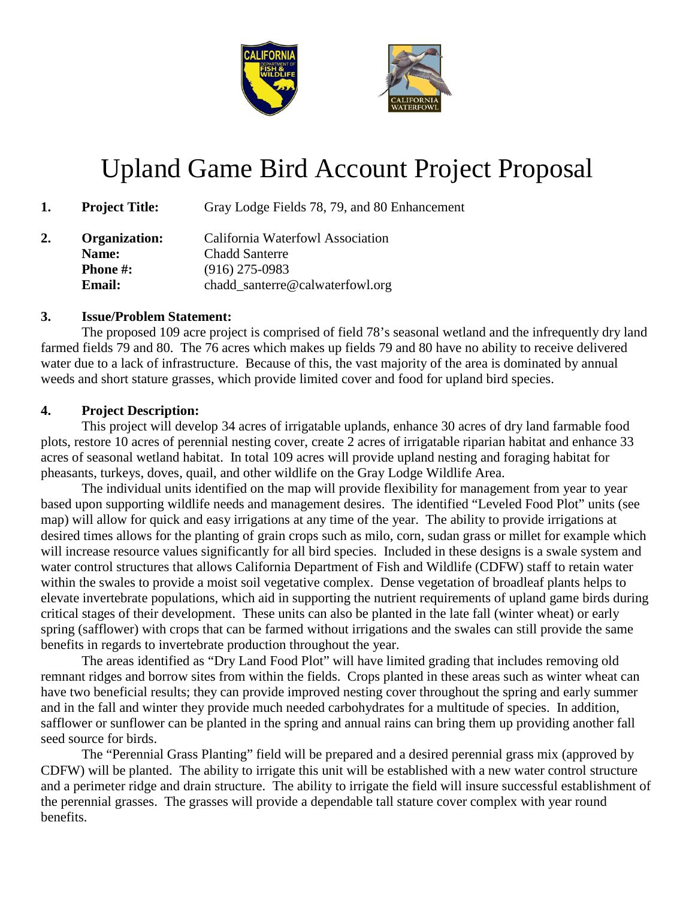

# Upland Game Bird Account Project Proposal

**1. Project Title:** Gray Lodge Fields 78, 79, and 80 Enhancement

**2. Organization:** California Waterfowl Association **Name:** Chadd Santerre **Phone #:** (916) 275-0983 **Email:** chadd\_santerre@calwaterfowl.org

### **3. Issue/Problem Statement:**

The proposed 109 acre project is comprised of field 78's seasonal wetland and the infrequently dry land farmed fields 79 and 80. The 76 acres which makes up fields 79 and 80 have no ability to receive delivered water due to a lack of infrastructure. Because of this, the vast majority of the area is dominated by annual weeds and short stature grasses, which provide limited cover and food for upland bird species.

## **4. Project Description:**

This project will develop 34 acres of irrigatable uplands, enhance 30 acres of dry land farmable food plots, restore 10 acres of perennial nesting cover, create 2 acres of irrigatable riparian habitat and enhance 33 acres of seasonal wetland habitat. In total 109 acres will provide upland nesting and foraging habitat for pheasants, turkeys, doves, quail, and other wildlife on the Gray Lodge Wildlife Area.

The individual units identified on the map will provide flexibility for management from year to year based upon supporting wildlife needs and management desires. The identified "Leveled Food Plot" units (see map) will allow for quick and easy irrigations at any time of the year. The ability to provide irrigations at desired times allows for the planting of grain crops such as milo, corn, sudan grass or millet for example which will increase resource values significantly for all bird species. Included in these designs is a swale system and water control structures that allows California Department of Fish and Wildlife (CDFW) staff to retain water within the swales to provide a moist soil vegetative complex. Dense vegetation of broadleaf plants helps to elevate invertebrate populations, which aid in supporting the nutrient requirements of upland game birds during critical stages of their development. These units can also be planted in the late fall (winter wheat) or early spring (safflower) with crops that can be farmed without irrigations and the swales can still provide the same benefits in regards to invertebrate production throughout the year.

The areas identified as "Dry Land Food Plot" will have limited grading that includes removing old remnant ridges and borrow sites from within the fields. Crops planted in these areas such as winter wheat can have two beneficial results; they can provide improved nesting cover throughout the spring and early summer and in the fall and winter they provide much needed carbohydrates for a multitude of species. In addition, safflower or sunflower can be planted in the spring and annual rains can bring them up providing another fall seed source for birds.

The "Perennial Grass Planting" field will be prepared and a desired perennial grass mix (approved by CDFW) will be planted. The ability to irrigate this unit will be established with a new water control structure and a perimeter ridge and drain structure. The ability to irrigate the field will insure successful establishment of the perennial grasses. The grasses will provide a dependable tall stature cover complex with year round benefits.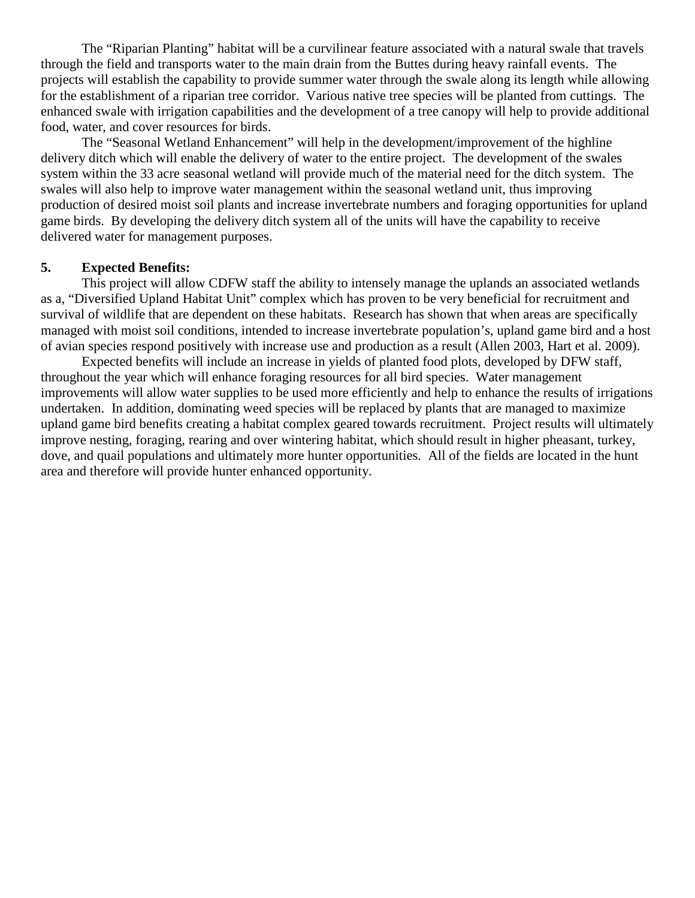The "Riparian Planting" habitat will be a curvilinear feature associated with a natural swale that travels through the field and transports water to the main drain from the Buttes during heavy rainfall events. The projects will establish the capability to provide summer water through the swale along its length while allowing for the establishment of a riparian tree corridor. Various native tree species will be planted from cuttings. The enhanced swale with irrigation capabilities and the development of a tree canopy will help to provide additional food, water, and cover resources for birds.

The "Seasonal Wetland Enhancement" will help in the development/improvement of the highline delivery ditch which will enable the delivery of water to the entire project. The development of the swales system within the 33 acre seasonal wetland will provide much of the material need for the ditch system. The swales will also help to improve water management within the seasonal wetland unit, thus improving production of desired moist soil plants and increase invertebrate numbers and foraging opportunities for upland game birds. By developing the delivery ditch system all of the units will have the capability to receive delivered water for management purposes.

#### **5. Expected Benefits:**

This project will allow CDFW staff the ability to intensely manage the uplands an associated wetlands as a, "Diversified Upland Habitat Unit" complex which has proven to be very beneficial for recruitment and survival of wildlife that are dependent on these habitats. Research has shown that when areas are specifically managed with moist soil conditions, intended to increase invertebrate population's, upland game bird and a host of avian species respond positively with increase use and production as a result (Allen 2003, Hart et al. 2009).

Expected benefits will include an increase in yields of planted food plots, developed by DFW staff, throughout the year which will enhance foraging resources for all bird species. Water management improvements will allow water supplies to be used more efficiently and help to enhance the results of irrigations undertaken. In addition, dominating weed species will be replaced by plants that are managed to maximize upland game bird benefits creating a habitat complex geared towards recruitment. Project results will ultimately improve nesting, foraging, rearing and over wintering habitat, which should result in higher pheasant, turkey, dove, and quail populations and ultimately more hunter opportunities. All of the fields are located in the hunt area and therefore will provide hunter enhanced opportunity.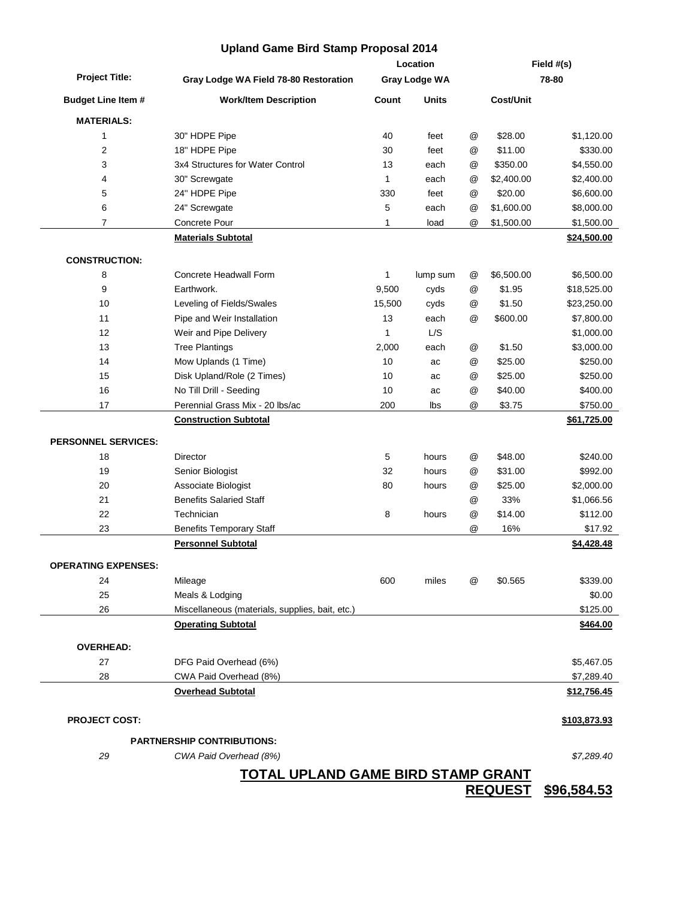|                            | <b>Upland Game Bird Stamp Proposal 2014</b>     |                                  |              |               |                     |              |  |
|----------------------------|-------------------------------------------------|----------------------------------|--------------|---------------|---------------------|--------------|--|
|                            |                                                 | Location<br><b>Gray Lodge WA</b> |              |               | Field #(s)<br>78-80 |              |  |
| <b>Project Title:</b>      | Gray Lodge WA Field 78-80 Restoration           |                                  |              |               |                     |              |  |
| <b>Budget Line Item #</b>  | <b>Work/Item Description</b>                    | Count                            | <b>Units</b> |               | <b>Cost/Unit</b>    |              |  |
| <b>MATERIALS:</b>          |                                                 |                                  |              |               |                     |              |  |
| 1                          | 30" HDPE Pipe                                   | 40                               | feet         | @             | \$28.00             | \$1,120.00   |  |
| 2                          | 18" HDPE Pipe                                   | 30                               | feet         | @             | \$11.00             | \$330.00     |  |
| 3                          | 3x4 Structures for Water Control                | 13                               | each         | @             | \$350.00            | \$4,550.00   |  |
| 4                          | 30" Screwgate                                   | 1                                | each         | @             | \$2,400.00          | \$2,400.00   |  |
| 5                          | 24" HDPE Pipe                                   | 330                              | feet         | @             | \$20.00             | \$6,600.00   |  |
| 6                          | 24" Screwgate                                   | 5                                | each         | @             | \$1,600.00          | \$8,000.00   |  |
| 7                          | Concrete Pour                                   | 1                                | load         | @             | \$1,500.00          | \$1,500.00   |  |
|                            | <b>Materials Subtotal</b>                       |                                  |              |               |                     | \$24,500.00  |  |
| <b>CONSTRUCTION:</b>       |                                                 |                                  |              |               |                     |              |  |
| 8                          | Concrete Headwall Form                          | 1                                | lump sum     | @             | \$6,500.00          | \$6,500.00   |  |
| 9                          | Earthwork.                                      | 9,500                            | cyds         | @             | \$1.95              | \$18,525.00  |  |
| 10                         | Leveling of Fields/Swales                       | 15,500                           | cyds         | @             | \$1.50              | \$23,250.00  |  |
| 11                         | Pipe and Weir Installation                      | 13                               | each         | @             | \$600.00            | \$7,800.00   |  |
| 12                         | Weir and Pipe Delivery                          | 1                                | L/S          |               |                     | \$1,000.00   |  |
| 13                         | <b>Tree Plantings</b>                           | 2,000                            | each         | @             | \$1.50              | \$3,000.00   |  |
| 14                         | Mow Uplands (1 Time)                            | 10                               | ac           | @             | \$25.00             | \$250.00     |  |
| 15                         | Disk Upland/Role (2 Times)                      | 10                               | ac           | @             | \$25.00             | \$250.00     |  |
| 16                         | No Till Drill - Seeding                         | 10                               | ac           | @             | \$40.00             | \$400.00     |  |
| 17                         | Perennial Grass Mix - 20 lbs/ac                 | 200                              | lbs          | @             | \$3.75              | \$750.00     |  |
|                            | <b>Construction Subtotal</b>                    |                                  |              |               |                     | \$61,725.00  |  |
| <b>PERSONNEL SERVICES:</b> |                                                 |                                  |              |               |                     |              |  |
| 18                         | <b>Director</b>                                 | 5                                | hours        | @             | \$48.00             | \$240.00     |  |
| 19                         | Senior Biologist                                | 32                               | hours        | @             | \$31.00             | \$992.00     |  |
| 20                         | Associate Biologist                             | 80                               | hours        | @             | \$25.00             | \$2,000.00   |  |
| 21                         | <b>Benefits Salaried Staff</b>                  |                                  |              | @             | 33%                 | \$1,066.56   |  |
| 22                         | Technician                                      | 8                                | hours        | $^\copyright$ | \$14.00             | \$112.00     |  |
| 23                         | <b>Benefits Temporary Staff</b>                 |                                  |              | @             | 16%                 | \$17.92      |  |
|                            | <b>Personnel Subtotal</b>                       |                                  |              |               |                     | \$4,428.48   |  |
| <b>OPERATING EXPENSES:</b> |                                                 |                                  |              |               |                     |              |  |
| 24                         | Mileage                                         | 600                              | miles        | @             | \$0.565             | \$339.00     |  |
| 25                         | Meals & Lodging                                 |                                  |              |               |                     | \$0.00       |  |
| 26                         | Miscellaneous (materials, supplies, bait, etc.) |                                  |              |               |                     | \$125.00     |  |
|                            | <b>Operating Subtotal</b>                       |                                  |              |               |                     | \$464.00     |  |
| <b>OVERHEAD:</b>           |                                                 |                                  |              |               |                     |              |  |
| 27                         | DFG Paid Overhead (6%)                          |                                  |              |               |                     | \$5,467.05   |  |
| 28                         | CWA Paid Overhead (8%)                          |                                  |              |               |                     | \$7,289.40   |  |
|                            | <b>Overhead Subtotal</b>                        |                                  |              |               |                     | \$12,756.45  |  |
| <b>PROJECT COST:</b>       |                                                 |                                  |              |               |                     | \$103,873.93 |  |
|                            | <b>PARTNERSHIP CONTRIBUTIONS:</b>               |                                  |              |               |                     |              |  |
| 29                         | CWA Paid Overhead (8%)                          |                                  |              |               |                     | \$7,289.40   |  |
|                            | <u>TOTAL UPLAND GAME BIRD STAMP GRANT</u>       |                                  |              |               |                     |              |  |

**REQUEST \$96,584.53**